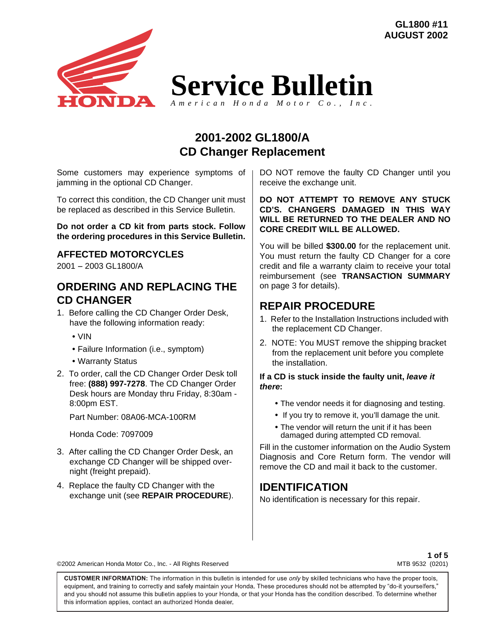**GL1800 #11 AUGUST 2002**



**Service Bulletin** *American Honda Motor Co., Inc.*

**2001-2002 GL1800/A CD Changer Replacement**

Some customers may experience symptoms of jamming in the optional CD Changer.

To correct this condition, the CD Changer unit must be replaced as described in this Service Bulletin.

**Do not order a CD kit from parts stock. Follow the ordering procedures in this Service Bulletin.**

### **AFFECTED MOTORCYCLES**

2001 − 2003 GL1800/A

### **ORDERING AND REPLACING THE CD CHANGER**

- 1. Before calling the CD Changer Order Desk, have the following information ready:
	- VIN
	- Failure Information (i.e., symptom)
	- Warranty Status
- 2. To order, call the CD Changer Order Desk toll free: **(888) 997-7278**. The CD Changer Order Desk hours are Monday thru Friday, 8:30am - 8:00pm EST.

Part Number: 08A06-MCA-100RM

Honda Code: 7097009

- 3. After calling the CD Changer Order Desk, an exchange CD Changer will be shipped overnight (freight prepaid).
- 4. Replace the faulty CD Changer with the exchange unit (see **REPAIR PROCEDURE**).

DO NOT remove the faulty CD Changer until you receive the exchange unit.

**DO NOT ATTEMPT TO REMOVE ANY STUCK CD'S. CHANGERS DAMAGED IN THIS WAY WILL BE RETURNED TO THE DEALER AND NO CORE CREDIT WILL BE ALLOWED.**

You will be billed **\$300.00** for the replacement unit. You must return the faulty CD Changer for a core credit and file a warranty claim to receive your total reimbursement (see **TRANSACTION SUMMARY** on page 3 for details).

### **REPAIR PROCEDURE**

- 1. Refer to the Installation Instructions included with the replacement CD Changer.
- 2. NOTE: You MUST remove the shipping bracket from the replacement unit before you complete the installation.

#### **If a CD is stuck inside the faulty unit,** *leave it there***:**

- The vendor needs it for diagnosing and testing.
- If you try to remove it, you'll damage the unit.
- The vendor will return the unit if it has been damaged during attempted CD removal.

Fill in the customer information on the Audio System Diagnosis and Core Return form. The vendor will remove the CD and mail it back to the customer.

### **IDENTIFICATION**

No identification is necessary for this repair.

©2002 American Honda Motor Co., Inc. - All Rights Reserved

**1 of 5** MTB 9532 (0201)

CUSTOMER INFORMATION: The information in this bulletin is intended for use only by skilled technicians who have the proper tools, equipment, and training to correctly and safely maintain your Honda. These procedures should not be attempted by "do-it yourselfers," and you should not assume this bulletin applies to your Honda, or that your Honda has the condition described. To determine whether this information applies, contact an authorized Honda dealer.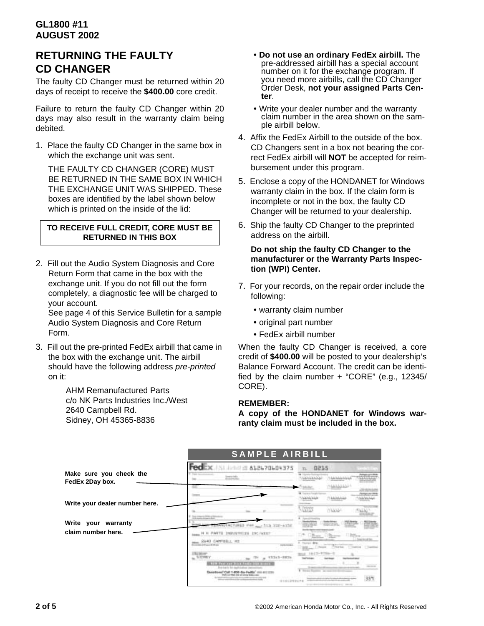## **RETURNING THE FAULTY CD CHANGER**

The faulty CD Changer must be returned within 20 days of receipt to receive the **\$400.00** core credit.

Failure to return the faulty CD Changer within 20 days may also result in the warranty claim being debited.

1. Place the faulty CD Changer in the same box in which the exchange unit was sent.

THE FAULTY CD CHANGER (CORE) MUST BE RETURNED IN THE SAME BOX IN WHICH THE EXCHANGE UNIT WAS SHIPPED. These boxes are identified by the label shown below which is printed on the inside of the lid:

#### **TO RECEIVE FULL CREDIT, CORE MUST BE RETURNED IN THIS BOX**

2. Fill out the Audio System Diagnosis and Core Return Form that came in the box with the exchange unit. If you do not fill out the form completely, a diagnostic fee will be charged to your account.

See page 4 of this Service Bulletin for a sample Audio System Diagnosis and Core Return Form.

3. Fill out the pre-printed FedEx airbill that came in the box with the exchange unit. The airbill should have the following address *pre-printed* on it:

> AHM Remanufactured Parts c/o NK Parts Industries Inc./West 2640 Campbell Rd. Sidney, OH 45365-8836

- **Do not use an ordinary FedEx airbill.** The pre-addressed airbill has a special account number on it for the exchange program. If you need more airbills, call the CD Changer Order Desk, **not your assigned Parts Center**.
- Write your dealer number and the warranty claim number in the area shown on the sample airbill below.
- 4. Affix the FedEx Airbill to the outside of the box. CD Changers sent in a box not bearing the correct FedEx airbill will **NOT** be accepted for reimbursement under this program.
- 5. Enclose a copy of the HONDANET for Windows warranty claim in the box. If the claim form is incomplete or not in the box, the faulty CD Changer will be returned to your dealership.
- 6. Ship the faulty CD Changer to the preprinted address on the airbill.

#### **Do not ship the faulty CD Changer to the manufacturer or the Warranty Parts Inspection (WPI) Center.**

- 7. For your records, on the repair order include the following:
	- warranty claim number
	- original part number
	- FedEx airbill number

When the faulty CD Changer is received, a core credit of **\$400.00** will be posted to your dealership's Balance Forward Account. The credit can be identified by the claim number + "CORE" (e.g., 12345/ CORE).

#### **REMEMBER:**

**A copy of the HONDANET for Windows warranty claim must be included in the box.**

|                                            | <b>SAMPLE AIRBILL</b>                                                            |                               |
|--------------------------------------------|----------------------------------------------------------------------------------|-------------------------------|
|                                            | X 612670604375                                                                   | 0215                          |
| Make sure you check the<br>FedEx 2Day box. |                                                                                  |                               |
|                                            |                                                                                  | <b>B.</b> Trailers Foralt Co. |
| Write your dealer number here.             |                                                                                  |                               |
|                                            |                                                                                  | <b>COSTS</b>                  |
| Write your warranty<br>claim number here.  | -1513 328-6158<br>INDIVITY/LEN LIFE/WEEP<br><b>ANTERLI RE</b><br><b>ALCOHOL:</b> |                               |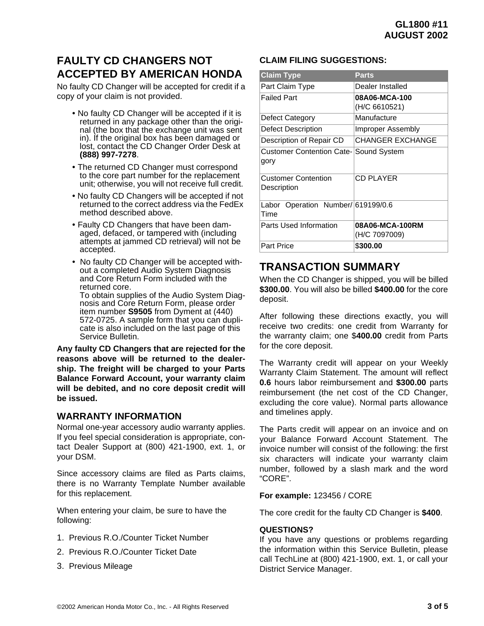# **FAULTY CD CHANGERS NOT ACCEPTED BY AMERICAN HONDA**

No faulty CD Changer will be accepted for credit if a copy of your claim is not provided.

- No faulty CD Changer will be accepted if it is returned in any package other than the original (the box that the exchange unit was sent in). If the original box has been damaged or lost, contact the CD Changer Order Desk at **(888) 997-7278**.
- The returned CD Changer must correspond to the core part number for the replacement unit; otherwise, you will not receive full credit.
- No faulty CD Changers will be accepted if not returned to the correct address via the FedEx method described above.
- Faulty CD Changers that have been damaged, defaced, or tampered with (including attempts at jammed CD retrieval) will not be accepted.
- No faulty CD Changer will be accepted without a completed Audio System Diagnosis and Core Return Form included with the returned core. To obtain supplies of the Audio System Diagnosis and Core Return Form, please order item number **S9505** from Dyment at (440) 572-0725. A sample form that you can duplicate is also included on the last page of this Service Bulletin.

**Any faulty CD Changers that are rejected for the reasons above will be returned to the dealership. The freight will be charged to your Parts Balance Forward Account, your warranty claim will be debited, and no core deposit credit will be issued.**

#### **WARRANTY INFORMATION**

Normal one-year accessory audio warranty applies. If you feel special consideration is appropriate, contact Dealer Support at (800) 421-1900, ext. 1, or your DSM.

Since accessory claims are filed as Parts claims, there is no Warranty Template Number available for this replacement.

When entering your claim, be sure to have the following:

- 1. Previous R.O./Counter Ticket Number
- 2. Previous R.O./Counter Ticket Date
- 3. Previous Mileage

#### **CLAIM FILING SUGGESTIONS:**

| <b>Claim Type</b>                                    | Parts                            |
|------------------------------------------------------|----------------------------------|
| Part Claim Type                                      | Dealer Installed                 |
| <b>Failed Part</b>                                   | 08A06-MCA-100<br>(H/C 6610521)   |
| Defect Category                                      | Manufacture                      |
| Defect Description                                   | Improper Assembly                |
| Description of Repair CD                             | <b>CHANGER EXCHANGE</b>          |
| <b>Customer Contention Cate-Sound System</b><br>gory |                                  |
| <b>Customer Contention</b><br>Description            | <b>CD PLAYER</b>                 |
| Labor Operation Number/619199/0.6<br>Time            |                                  |
| Parts Used Information                               | 08A06-MCA-100RM<br>(H/C 7097009) |
| <b>Part Price</b>                                    | \$300.00                         |

### **TRANSACTION SUMMARY**

When the CD Changer is shipped, you will be billed **\$300.00**. You will also be billed **\$400.00** for the core deposit.

After following these directions exactly, you will receive two credits: one credit from Warranty for the warranty claim; one \$**400.00** credit from Parts for the core deposit.

The Warranty credit will appear on your Weekly Warranty Claim Statement. The amount will reflect **0.6** hours labor reimbursement and **\$300.00** parts reimbursement (the net cost of the CD Changer, excluding the core value). Normal parts allowance and timelines apply.

The Parts credit will appear on an invoice and on your Balance Forward Account Statement. The invoice number will consist of the following: the first six characters will indicate your warranty claim number, followed by a slash mark and the word "CORE".

#### **For example:** 123456 / CORE

The core credit for the faulty CD Changer is **\$400**.

#### **QUESTIONS?**

If you have any questions or problems regarding the information within this Service Bulletin, please call TechLine at (800) 421-1900, ext. 1, or call your District Service Manager.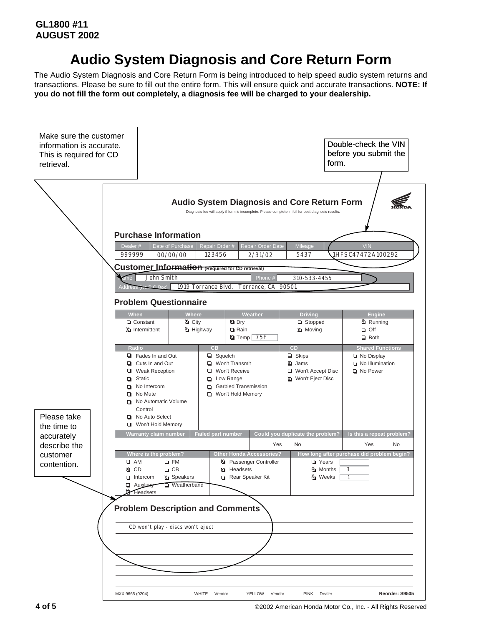# **Audio System Diagnosis and Core Return Form**

The Audio System Diagnosis and Core Return Form is being introduced to help speed audio system returns and transactions. Please be sure to fill out the entire form. This will ensure quick and accurate transactions. **NOTE: If you do not fill the form out completely, a diagnosis fee will be charged to your dealership.**



**4 of 5** ©2002 American Honda Motor Co., Inc. - All Rights Reserved